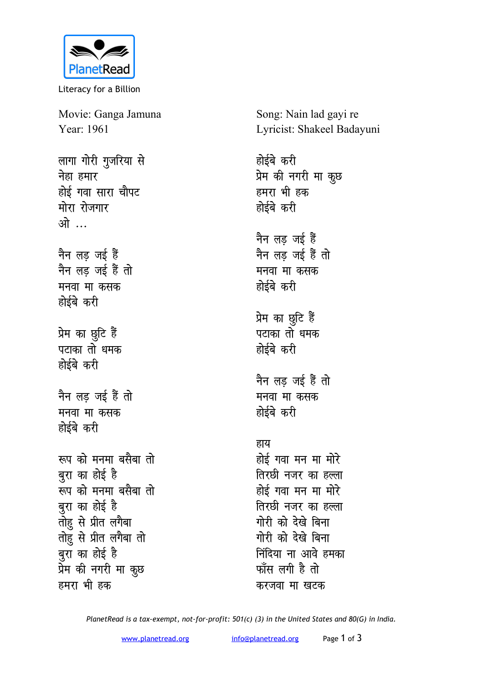

Literacy for a Billion

Movie: Ganga Jamuna Year: 1961

लागा गोरी गुजरिया से नेहा हमार होई गवा सारा चौपट मोरा रोजगार ओ ... नैन लड जई हैं नैन लड़ जई हैं तो मनवा मा कसक होईबे करी प्रेम का छूटि हैं पटाका तो धमक होईबे करी नैन लड जई हैं तो मनवा मा कसक होईबे करी रूप को मनमा बसैबा तो बुरा का होई है ्<br>स्वप को मनमा बसैबा तो बुरा का होई है तोह़ से प्रीत लगेबा तोह़ू से प्रीत लगैबा तो बुरा का होई है प्रेम की नगरी मा कुछ हमरा भी हक

Song: Nain lad gayi re Lyricist: Shakeel Badayuni

होईबे करी प्रेम की नगरी मा कुछ हमरा भी हक होईबे करी नैन लड़ जई हैं नैन लड जई हैं तो मनवा मा कसक होईबे करी प्रेम का छुटि हैं पटाका तो धमक होईबे करी नैन लड़ जई हैं तो मनवा मा कसक होईबे करी हाय होई गवा मन मा मोरे तिरछी नजर का हल्ला होई गवा मन मा मोरे तिरछी नजर का हल्ला गोरी को देखे बिना गोरी को देखे बिना निंदिया ना आवे हमका फॉस लगी है तो करजवा मा खटक

PlanetRead is a tax-exempt, not-for-profit: 501(c) (3) in the United States and 80(G) in India.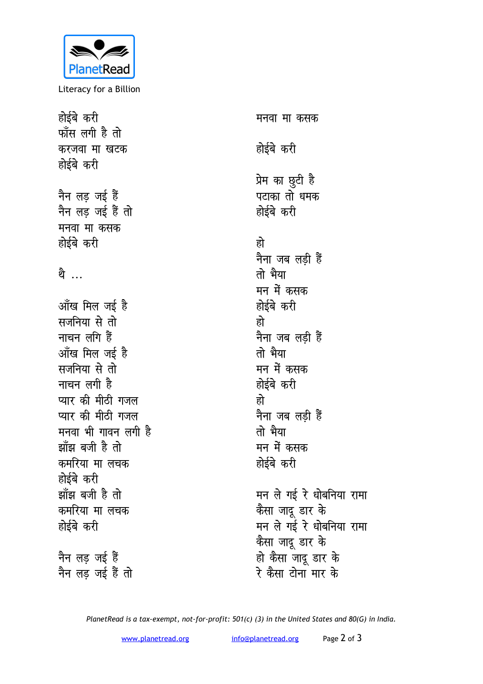

Literacy for a Billion

होईबे करी फॉस लगी है तो करजवा मा खटक होईबे करी नैन लड़ जई हैं नैन लड़ जई हैं तो मनवा मा कसक होईबे करी थे ... आँख मिल जई है सजनिया से तो नाचन लगि हैं आँख मिल जई है सजनिया से तो नाचन लगी है प्यार की मीठी गजल प्यार की मीठी गजल मनवा भी गावन लगी है झाँझ बजी है तो कमरिया मा लचक होईबे करी झाँझ बजी है तो कमरिया मा लचक होईबे करी नैन लड़ जई हैं

<u>.</u><br>नैन लड जई हैं तो

मनवा मा कसक होईबे करी प्रेम का छूटी है पटाका तो धमक होईबे करी हो नैना जब लड़ी हैं तो भैया मन में कसक होईबे करी द्वो नैना जब लडी हैं तो भैया मन में कसक होईबे करी हो नैना जब लड़ी हैं तो भैया मन में कसक होईबे करी मन ले गई रे धोबनिया रामा कैसा जादू डार के मन ले गई रे धोबनिया रामा कैसा जादू डार के हो कैसा जादू डार के

रे कैसा टोना मार के

PlanetRead is a tax-exempt, not-for-profit: 501(c) (3) in the United States and 80(G) in India.